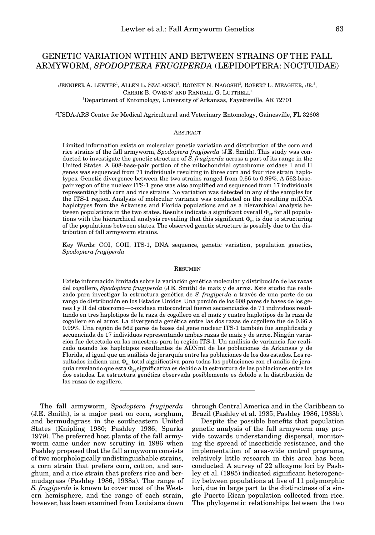# GENETIC VARIATION WITHIN AND BETWEEN STRAINS OF THE FALL ARMYWORM, *SPODOPTERA FRUGIPERDA* (LEPIDOPTERA: NOCTUIDAE)

JENNIFER A. LEWTER<sup>1</sup>, ALLEN L. SZALANSKI<sup>1</sup>, RODNEY N. NAGOSHI<sup>2</sup>, ROBERT L. MEAGHER, JR.<sup>2</sup>, CARRIE B. OWENS<sup>1</sup> AND RANDALL G. LUTTRELL<sup>1</sup> 1 Department of Entomology, University of Arkansas, Fayetteville, AR 72701

2 USDA-ARS Center for Medical Agricultural and Veterinary Entomology, Gainesville, FL 32608

### **ABSTRACT**

Limited information exists on molecular genetic variation and distribution of the corn and rice strains of the fall armyworm, *Spodoptera frugiperda* (J.E. Smith). This study was conducted to investigate the genetic structure of *S. frugiperda* across a part of its range in the United States. A 608-base-pair portion of the mitochondrial cytochrome oxidase I and II genes was sequenced from 71 individuals resulting in three corn and four rice strain haplotypes. Genetic divergence between the two strains ranged from 0.66 to 0.99%. A 562-basepair region of the nuclear ITS-1 gene was also amplified and sequenced from 17 individuals representing both corn and rice strains. No variation was detected in any of the samples for the ITS-1 region. Analysis of molecular variance was conducted on the resulting mtDNA haplotypes from the Arkansas and Florida populations and as a hierarchical analysis between populations in the two states. Results indicate a significant overall  $\Phi_{sr}$  for all populations with the hierarchical analysis revealing that this significant  $\Phi_{\rm sr}$  is due to structuring of the populations between states. The observed genetic structure is possibly due to the distribution of fall armyworm strains.

Key Words: COI, COII, ITS-1, DNA sequence, genetic variation, population genetics, *Spodoptera frugiperda*

#### **RESUMEN**

Existe información limitada sobre la variación genética molecular y distribución de las razas del cogollero, *Spodoptera frugiperda* (J.E. Smith) de maíz y de arroz. Este studio fue realizado para investigar la estructura genética de *S. frugiperda* a través de una parte de su rango de distribución en los Estados Unidos. Una porción de los 608 pares de bases de los genes I y II del citocromo—c-oxidasa mitocondrial fueron secuenciados de 71 individuos resultando en tres haplotipos de la raza de cogollero en el maíz y cuatro haplotipos de la raza de cogollero en el arroz. La divergencia genética entre las dos razas de cogollero fue de 0.66 a 0.99%. Una región de 562 pares de bases del gene nuclear ITS-1 también fue amplificada y secuenciada de 17 individuos representando ambas razas de maíz y de arroz. Ningún variación fue detectada en las muestras para la región ITS-1. Un análisis de variancia fue realizado usando los haplotipos resultantes de ADNmt de las poblaciones de Arkansas y de Florida, al igual que un análisis de jerarquía entre las poblaciones de los dos estados. Los resultados indican una  $\Phi_{sr}$  total significativa para todas las poblaciones con el anális de jeraquía revelando que esta  $\Phi_{\rm sr}$  significativa es debido a la estructura de las poblaciones entre los dos estados. La estructura genética observada posiblemente es debido a la distribución de las razas de cogollero.

The fall armyworm, *Spodoptera frugiperda* (J.E. Smith), is a major pest on corn, sorghum, and bermudagrass in the southeastern United States (Knipling 1980; Pashley 1986; Sparks 1979). The preferred host plants of the fall armyworm came under new scrutiny in 1986 when Pashley proposed that the fall armyworm consists of two morphologically undistinguishable strains, a corn strain that prefers corn, cotton, and sorghum, and a rice strain that prefers rice and bermudagrass (Pashley 1986, 1988a). The range of *S. frugiperda* is known to cover most of the Western hemisphere, and the range of each strain, however, has been examined from Louisiana down

through Central America and in the Caribbean to Brazil (Pashley et al. 1985; Pashley 1986, 1988b).

Despite the possible benefits that population genetic analysis of the fall armyworm may provide towards understanding dispersal, monitoring the spread of insecticide resistance, and the implementation of area-wide control programs, relatively little research in this area has been conducted. A survey of 22 allozyme loci by Pashley et al. (1985) indicated significant heterogeneity between populations at five of 11 polymorphic loci, due in large part to the distinctness of a single Puerto Rican population collected from rice. The phylogenetic relationships between the two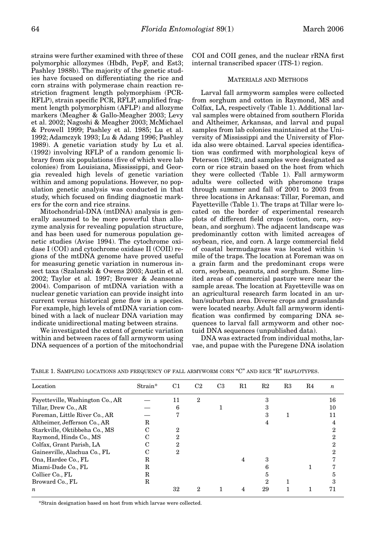strains were further examined with three of these polymorphic allozymes (Hbdh, PepF, and Est3; Pashley 1988b). The majority of the genetic studies have focused on differentiating the rice and corn strains with polymerase chain reaction restriction fragment length polymorphism (PCR-RFLP), strain specific PCR, RFLP, amplified fragment length polymorphism (AFLP) and allozyme markers (Meagher & Gallo-Meagher 2003; Levy et al. 2002; Nagoshi & Meagher 2003; McMichael & Prowell 1999; Pashley et al. 1985; Lu et al. 1992; Adamczyk 1993; Lu & Adang 1996; Pashley 1989). A genetic variation study by Lu et al. (1992) involving RFLP of a random genomic library from six populations (five of which were lab colonies) from Louisiana, Mississippi, and Georgia revealed high levels of genetic variation within and among populations. However, no population genetic analysis was conducted in that study, which focused on finding diagnostic markers for the corn and rice strains.

Mitochondrial-DNA (mtDNA) analysis is generally assumed to be more powerful than allozyme analysis for revealing population structure, and has been used for numerous population genetic studies (Avise 1994). The cytochrome oxidase I (COI) and cytochrome oxidase II (COII) regions of the mtDNA genome have proved useful for measuring genetic variation in numerous insect taxa (Szalanski & Owens 2003; Austin et al. 2002; Taylor et al. 1997; Brower & Jeansonne 2004). Comparison of mtDNA variation with a nuclear genetic variation can provide insight into current versus historical gene flow in a species. For example, high levels of mtDNA variation combined with a lack of nuclear DNA variation may indicate unidirectional mating between strains.

We investigated the extent of genetic variation within and between races of fall armyworm using DNA sequences of a portion of the mitochondrial

COI and COII genes, and the nuclear rRNA first internal transcribed spacer (ITS-1) region.

# MATERIALS AND METHODS

Larval fall armyworm samples were collected from sorghum and cotton in Raymond, MS and Colfax, LA, respectively (Table 1). Additional larval samples were obtained from southern Florida and Altheimer, Arkansas, and larval and pupal samples from lab colonies maintained at the University of Mississippi and the University of Florida also were obtained. Larval species identification was confirmed with morphological keys of Peterson (1962), and samples were designated as corn or rice strain based on the host from which they were collected (Table 1). Fall armyworm adults were collected with pheromone traps through summer and fall of 2001 to 2003 from three locations in Arkansas: Tillar, Foreman, and Fayetteville (Table 1). The traps at Tillar were located on the border of experimental research plots of different field crops (cotton, corn, soybean, and sorghum). The adjacent landscape was predominantly cotton with limited acreages of soybean, rice, and corn. A large commercial field of coastal bermudagrass was located within ¼ mile of the traps. The location at Foreman was on a grain farm and the predominant crops were corn, soybean, peanuts, and sorghum. Some limited areas of commercial pasture were near the sample areas. The location at Fayetteville was on an agricultural research farm located in an urban/suburban area. Diverse crops and grasslands were located nearby. Adult fall armyworm identification was confirmed by comparing DNA sequences to larval fall armyworm and other noctuid DNA sequences (unpublished data).

DNA was extracted from individual moths, larvae, and pupae with the Puregene DNA isolation

| Location                         | Strain* | C1 | C2             | C3 | $_{\rm R1}$ | R2 | R3 | R4 | $\boldsymbol{n}$ |
|----------------------------------|---------|----|----------------|----|-------------|----|----|----|------------------|
| Fayetteville, Washington Co., AR |         | 11 | $\overline{2}$ |    |             | 3  |    |    | 16               |
| Tillar, Drew Co., AR             |         | 6  |                |    |             | 3  |    |    | 10               |
| Foreman, Little River Co., AR    |         |    |                |    |             | з  |    |    | 11               |
| Altheimer, Jefferson Co., AR     | R       |    |                |    |             | 4  |    |    | 4                |
| Starkville, Oktibbeha Co., MS    | C       | 2  |                |    |             |    |    |    | 2                |
| Raymond, Hinds Co., MS           |         | 2  |                |    |             |    |    |    | 2                |
| Colfax, Grant Parish, LA         |         | 2  |                |    |             |    |    |    |                  |
| Gainesville, Alachua Co., FL     |         | 2  |                |    |             |    |    |    | 2                |
| Ona, Hardee Co., FL              | R       |    |                |    | 4           | 3  |    |    |                  |
| Miami-Dade Co., FL               | R       |    |                |    |             | 6  |    |    |                  |
| Collier Co., FL                  | R       |    |                |    |             | 5  |    |    | 5                |
| Broward Co., FL                  | R       |    |                |    |             | 2  |    |    | з                |
| $\boldsymbol{n}$                 |         | 32 | 2              |    |             | 29 |    |    | 71               |

TABLE 1. SAMPLING LOCATIONS AND FREQUENCY OF FALL ARMYWORM CORN "C" AND RICE "R" HAPLOTYPES.

\*Strain designation based on host from which larvae were collected.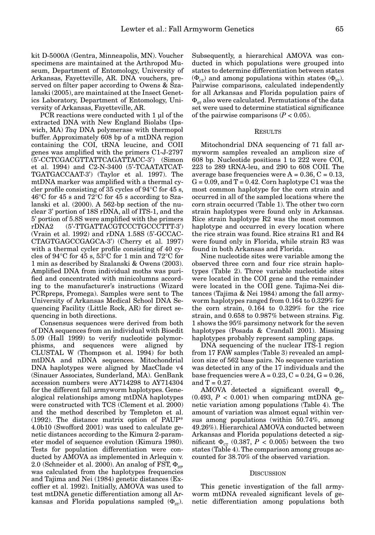kit D-5000A (Gentra, Minneapolis, MN). Voucher specimens are maintained at the Arthropod Museum, Department of Entomology, University of Arkansas, Fayetteville, AR. DNA vouchers, preserved on filter paper according to Owens & Szalanski (2005), are maintained at the Insect Genetics Laboratory, Department of Entomology, University of Arkansas, Fayetteville, AR.

PCR reactions were conducted with 1 µl of the extracted DNA with New England Biolabs (Ipswich, MA) *Taq* DNA polymerase with thermopol buffer. Approximately 608 bp of a mtDNA region containing the COI, tRNA leucine, and COII genes was amplified with the primers C1-J-2797 (5'-CCTCGACGTTATTCAGATTACC-3') (Simon et al. 1994) and C2-N-3400 (5'-TCAATATCAT-TGATGACCAAT-3') (Taylor et al. 1997). The mtDNA marker was amplified with a thermal cycler profile consisting of 35 cycles of 94°C for 45 s, 46°C for 45 s and 72°C for 45 s according to Szalanski et al. (2000). A 562-bp section of the nuclear 3' portion of 18S rDNA, all of ITS-1, and the 5' portion of 5.8S were amplified with the primers rDNA2 (5'-TTGATTACGTCCCTGCCCTTT-3') (Vrain et al. 1992) and rDNA 1.58S (5'-GCCAC-CTAGTGAGCCGAGCA-3') (Cherry et al. 1997) with a thermal cycler profile consisting of 40 cycles of 94 $\rm ^{\circ}C$  for 45 s, 53 $\rm ^{\circ}C$  for 1 min and 72 $\rm ^{\circ}C$  for 1 min as described by Szalanski & Owens (2003). Amplified DNA from individual moths was purified and concentrated with minicolumns according to the manufacturer's instructions (Wizard PCRpreps, Promega). Samples were sent to The University of Arkansas Medical School DNA Sequencing Facility (Little Rock, AR) for direct sequencing in both directions.

Consensus sequences were derived from both of DNA sequences from an individual with Bioedit 5.09 (Hall 1999) to verify nucleotide polymorphisms, and sequences were aligned by CLUSTAL W (Thompson et al. 1994) for both mtDNA and nDNA sequences. Mitochondrial DNA haplotypes were aligned by MacClade v4 (Sinauer Associates, Sunderland, MA). GenBank accession numbers were AY714298 to AY714304 for the different fall armyworm haplotypes. Genealogical relationships among mtDNA haplotypes were constructed with TCS (Clement et al. 2000) and the method described by Templeton et al. (1992). The distance matrix option of PAUP\* 4.0b10 (Swofford 2001) was used to calculate genetic distances according to the Kimura 2-parameter model of sequence evolution (Kimura 1980). Tests for population differentiation were conducted by AMOVA as implemented in Arlequin v. 2.0 (Schneider et al. 2000). An analog of FST,  $\Phi_{\rm sm}$ was calculated from the haplotypes frequencies and Tajima and Nei (1984) genetic distances (Excoffier et al. 1992). Initially, AMOVA was used to test mtDNA genetic differentiation among all Arkansas and Florida populations sampled  $(\Phi_{\rm sr})$ .

Subsequently, a hierarchical AMOVA was conducted in which populations were grouped into states to determine differentiation between states  $(\Phi_{cr})$  and among populations within states  $(\Phi_{sr})$ . Pairwise comparisons, calculated independently for all Arkansas and Florida population pairs of  $\Phi_{\rm sr}$  also were calculated. Permutations of the data set were used to determine statistical significance of the pairwise comparisons  $(P < 0.05)$ .

## RESULTS

Mitochondrial DNA sequencing of 71 fall armyworm samples revealed an amplicon size of 608 bp. Nucleotide positions 1 to 222 were COI, 223 to 289 tRNA-leu, and 290 to 608 COII. The average base frequencies were  $A = 0.36$ ,  $C = 0.13$ ,  $G = 0.09$ , and  $T = 0.42$ . Corn haplotype C1 was the most common haplotype for the corn strain and occurred in all of the sampled locations where the corn strain occurred (Table 1). The other two corn strain haplotypes were found only in Arkansas. Rice strain haplotype R2 was the most common haplotype and occurred in every location where the rice strain was found. Rice strains R1 and R4 were found only in Florida, while strain R3 was found in both Arkansas and Florida.

Nine nucleotide sites were variable among the observed three corn and four rice strain haplotypes (Table 2). Three variable nucleotide sites were located in the COI gene and the remainder were located in the COII gene. Tajima-Nei distances (Tajima & Nei 1984) among the fall armyworm haplotypes ranged from 0.164 to 0.329% for the corn strain, 0.164 to 0.329% for the rice strain, and 0.658 to 0.987% between strains. Fig. 1 shows the 95% parsimony network for the seven haplotypes (Posada & Crandall 2001). Missing haplotypes probably represent sampling gaps.

DNA sequencing of the nuclear ITS-1 region from 17 FAW samples (Table 3) revealed an amplicon size of 562 base pairs. No sequence variation was detected in any of the 17 individuals and the base frequencies were  $A = 0.23$ ,  $C = 0.24$ ,  $G = 0.26$ , and  $T = 0.27$ .

AMOVA detected a significant overall  $\Phi_{\rm sr}$  $(0.493, P < 0.001)$  when comparing mtDNA genetic variation among populations (Table 4). The amount of variation was almost equal within versus among populations (within 50.74%, among 49.26%). Hierarchical AMOVA conducted between Arkansas and Florida populations detected a significant  $\Phi_{cr}$  (0.387, *P* < 0.005) between the two states (Table 4). The comparison among groups accounted for 38.70% of the observed variation.

#### **DISCUSSION**

This genetic investigation of the fall armyworm mtDNA revealed significant levels of genetic differentiation among populations both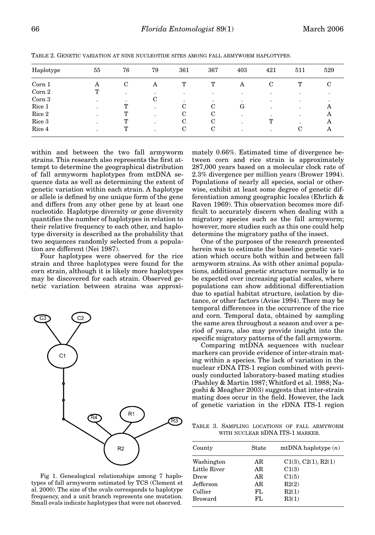| Haplotype | 55 | 76          | 79                       | 361     | 367       | 403       | 421 | 511       | 529    |
|-----------|----|-------------|--------------------------|---------|-----------|-----------|-----|-----------|--------|
| Corn 1    | A  | $\mathbf C$ | A                        | T       | T         | A         | C   | T         | $\sim$ |
| Corn 2    | т  |             | ٠                        | ٠       | $\bullet$ | ٠         | ٠   | ٠         |        |
| Corn 3    |    |             | C                        | $\cdot$ | $\bullet$ | $\bullet$ | ٠   | $\bullet$ |        |
| Rice 1    | ۰  | т           | $\cdot$                  | С       | С         | G         | ٠   | $\bullet$ | A      |
| Rice 2    |    | т           | $\overline{\phantom{a}}$ | C       | C         | ٠         | ٠   | $\bullet$ | А      |
| Rice 3    |    | ጥ           | $\overline{\phantom{a}}$ | C       | C         |           | Т   | ٠         | А      |
| Rice 4    |    | т           |                          | С       | C         |           | ۰   | С         | А      |

TABLE 2. GENETIC VARIATION AT NINE NUCLEOTIDE SITES AMONG FALL ARMYWORM HAPLOTYPES.

within and between the two fall armyworm strains. This research also represents the first attempt to determine the geographical distribution of fall armyworm haplotypes from mtDNA sequence data as well as determining the extent of genetic variation within each strain. A haplotype or allele is defined by one unique form of the gene and differs from any other gene by at least one nucleotide. Haplotype diversity or gene diversity quantifies the number of haplotypes in relation to their relative frequency to each other, and haplotype diversity is described as the probability that two sequences randomly selected from a population are different (Nei 1987).

Four haplotypes were observed for the rice strain and three haplotypes were found for the corn strain, although it is likely more haplotypes may be discovered for each strain. Observed genetic variation between strains was approxi-



Fig 1. Genealogical relationships among 7 haplotypes of fall armyworm estimated by TCS (Clement et al. 2000). The size of the ovals corresponds to haplotype frequency, and a unit branch represents one mutation. Small ovals indicate haplotypes that were not observed.

mately 0.66%. Estimated time of divergence between corn and rice strain is approximately 287,000 years based on a molecular clock rate of 2.3% divergence per million years (Brower 1994). Populations of nearly all species, social or otherwise, exhibit at least some degree of genetic differentiation among geographic locales (Ehrlich & Raven 1969). This observation becomes more difficult to accurately discern when dealing with a migratory species such as the fall armyworm; however, more studies such as this one could help determine the migratory paths of the insect.

One of the purposes of the research presented herein was to estimate the baseline genetic variation which occurs both within and between fall armyworm strains. As with other animal populations, additional genetic structure normally is to be expected over increasing spatial scales, where populations can show additional differentiation due to spatial habitat structure, isolation by distance, or other factors (Avise 1994). There may be temporal differences in the occurrence of the rice and corn. Temporal data, obtained by sampling the same area throughout a season and over a period of years, also may provide insight into the specific migratory patterns of the fall armyworm.

Comparing mtDNA sequences with nuclear markers can provide evidence of inter-strain mating within a species. The lack of variation in the nuclear rDNA ITS-1 region combined with previously conducted laboratory-based mating studies (Pashley & Martin 1987; Whitford et al. 1988; Nagoshi & Meagher 2003) suggests that inter-strain mating does occur in the field. However, the lack of genetic variation in the rDNA ITS-1 region

TABLE 3. SAMPLING LOCATIONS OF FALL ARMYWORM WITH NUCLEAR RDNA ITS-1 MARKER.

| County         | State | mtDNA haplotype $(n)$ |  |  |
|----------------|-------|-----------------------|--|--|
| Washington     | AR    | C1(3), C2(1), R2(1)   |  |  |
| Little River   | AR    | C1(3)                 |  |  |
| Drew           | AR    | C1(5)                 |  |  |
| Jefferson      | AR    | R2(2)                 |  |  |
| Collier        | FL.   | R2(1)                 |  |  |
| <b>Broward</b> | FL.   | R3(1)                 |  |  |
|                |       |                       |  |  |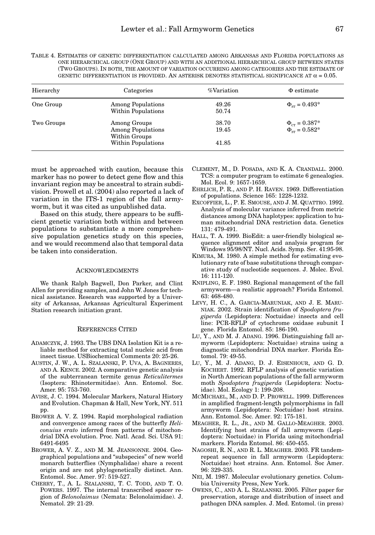TABLE 4. ESTIMATES OF GENETIC DIFFERENTIATION CALCULATED AMONG ARKANSAS AND FLORIDA POPULATIONS AS ONE HIERARCHICAL GROUP (ONE GROUP) AND WITH AN ADDITIONAL HIERARCHICAL GROUP BETWEEN STATES (TWO GROUPS). IN BOTH, THE AMOUNT OF VARIATION OCCURRING AMONG CATEGORIES AND THE ESTIMATE OF GENETIC DIFFERENTIATION IS PROVIDED. AN ASTERISK DENOTES STATISTICAL SIGNIFICANCE AT  $\alpha = 0.05$ .

| Hierarchy  | Categories                                                                      | %Variation              | $\Phi$ estimate                                |
|------------|---------------------------------------------------------------------------------|-------------------------|------------------------------------------------|
| One Group  | <b>Among Populations</b><br>Within Populations                                  | 49.26<br>50.74          | $\Phi_{\rm cr} = 0.493*$                       |
| Two Groups | Among Groups<br><b>Among Populations</b><br>Within Groups<br>Within Populations | 38.70<br>19.45<br>41.85 | $\Phi_{cr} = 0.387^*$<br>$\Phi_{sr} = 0.582^*$ |

must be approached with caution, because this marker has no power to detect gene flow and this invariant region may be ancestral to strain subdivision. Prowell et al. (2004) also reported a lack of variation in the ITS-1 region of the fall armyworm, but it was cited as unpublished data.

Based on this study, there appears to be sufficient genetic variation both within and between populations to substantiate a more comprehensive population genetics study on this species, and we would recommend also that temporal data be taken into consideration.

## ACKNOWLEDGMENTS

We thank Ralph Bagwell, Don Parker, and Clint Allen for providing samples, and John W. Jones for technical assistance. Research was supported by a University of Arkansas, Arkansas Agricultural Experiment Station research initiation grant.

### REFERENCES CITED

- ADAMCZYK, J. 1993. The UBS DNA Isolation Kit is a reliable method for extracting total nucleic acid from insect tissue. USBiochemical Comments 20: 25-26.
- AUSTIN, J. W., A. L. SZALANSKI, P. UVA, A. BAGNERES, AND A. KENCE. 2002. A comparative genetic analysis of the subterranean termite genus *Reticulitermes* (Isoptera: Rhinotermitidae). Ann. Entomol. Soc. Amer. 95: 753-760.
- AVISE, J. C. 1994. Molecular Markers, Natural History and Evolution. Chapman & Hall, New York, NY. 511 pp.
- BROWER A. V. Z. 1994. Rapid morphological radiation and convergence among races of the butterfly *Heliconuius erato* inferred from patterns of mitochondrial DNA evolution. Proc. Natl. Acad. Sci. USA 91: 6491-6495
- BROWER, A. V. Z., AND M. M. JEANSONNE. 2004. Geographical populations and "subspecies" of new world monarch butterflies (Nymphalidae) share a recent origin and are not phylogenetically distinct. Ann. Entomol. Soc. Amer. 97: 519-527.
- CHERRY, T., A. L. SZALANSKI, T. C. TODD, AND T. O. POWERS. 1997. The internal transcribed spacer region of *Belonolaimus* (Nemata: Belonolaimidae). J. Nematol. 29: 21-29.
- CLEMENT, M., D. POSADA, AND K. A. CRANDALL. 2000. TCS: a computer program to estimate 6 genealogies. Mol. Ecol. 9: 1657-1659.
- EHRLICH, P. R., AND P. H. RAVEN. 1969. Differentiation of populations. Science 165: 1228-1232.
- EXCOFFIER, L., P. E. SMOUSE, AND J. M. QUATTRO. 1992. Analysis of molecular variance inferred from metric distances among DNA haplotypes: application to human mitochondrial DNA restriction data. Genetics 131: 479-491.
- HALL, T. A. 1999. BioEdit: a user-friendly biological sequence alignment editor and analysis program for Windows 95/98/NT. Nucl. Acids. Symp. Ser. 41:95-98.
- KIMURA, M. 1980. A simple method for estimating evolutionary rate of base substitutions through comparative study of nucleotide sequences. J. Molec. Evol. 16: 111-120.
- KNIPLING, E. F. 1980. Regional management of the fall armyworm—a realistic approach? Florida Entomol. 63: 468-480.
- LEVY, H. C., A. GARCIA-MARUNIAK, AND J. E. MARU-NIAK. 2002. Strain identification of *Spodoptera frugiperda* (Lepidoptera: Noctuidae) insects and cell line: PCR-RFLP of cytochrome oxidase subunit I gene. Florida Entomol. 85: 186-190.
- LU, Y., AND M. J. ADANG. 1996. Distinguishing fall armyworm (Lepidoptera: Noctuidae) strains using a diagnostic mitochondrial DNA marker. Florida Entomol. 79: 49-55.
- LU, Y., M. J. ADANG, D. J. EISENHOUR, AND G. D. KOCHERT. 1992. RFLP analysis of genetic variation in North American populations of the fall armyworm moth *Spodoptera frugiperda* (Lepidoptera: Noctuidae). Mol. Ecology 1: 199-208.
- MCMICHAEL, M., AND D. P. PROWELL. 1999. Differences in amplified fragment-length polymorphisms in fall armyworm (Lepidoptera: Noctuidae) host strains. Ann. Entomol. Soc. Amer. 92: 175-181.
- MEAGHER, R. L., JR., AND M. GALLO-MEAGHER. 2003. Identifying host strains of fall armyworm (Lepidoptera: Noctuidae) in Florida using mitochondrial markers. Florida Entomol. 86: 450-455.
- NAGOSHI, R. N., AND R. L. MEAGHER. 2003. FR tandemrepeat sequence in fall armyworm (Lepidoptera: Noctuidae) host strains. Ann. Entomol. Soc Amer. 96: 329-335.
- NEI, M. 1987. Molecular evolutionary genetics. Columbia University Press, New York.
- OWENS, C., AND A. L. SZALANSKI. 2005. Filter paper for preservation, storage and distribution of insect and pathogen DNA samples. J. Med. Entomol. (in press)